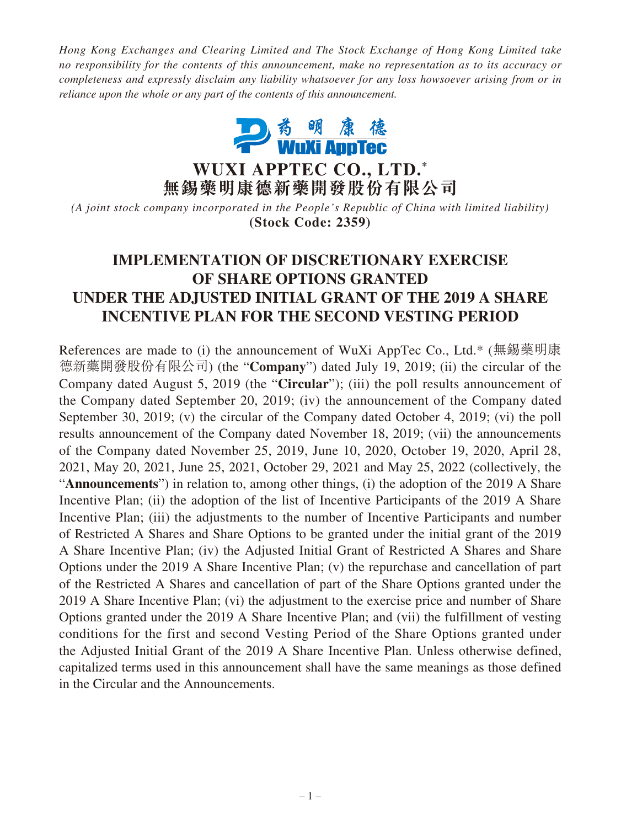*Hong Kong Exchanges and Clearing Limited and The Stock Exchange of Hong Kong Limited take no responsibility for the contents of this announcement, make no representation as to its accuracy or completeness and expressly disclaim any liability whatsoever for any loss howsoever arising from or in reliance upon the whole or any part of the contents of this announcement.*



**WUXI APPTEC CO., LTD. \* 無錫藥明康德新藥開發股份有限公司**

*(A joint stock company incorporated in the People's Republic of China with limited liability)* **(Stock Code: 2359)**

# **IMPLEMENTATION OF DISCRETIONARY EXERCISE OF SHARE OPTIONS GRANTED UNDER THE ADJUSTED INITIAL GRANT OF THE 2019 A SHARE INCENTIVE PLAN FOR THE SECOND VESTING PERIOD**

References are made to (i) the announcement of WuXi AppTec Co., Ltd.\* (無錫藥明康 德新藥開發股份有限公司) (the "**Company**") dated July 19, 2019; (ii) the circular of the Company dated August 5, 2019 (the "**Circular**"); (iii) the poll results announcement of the Company dated September 20, 2019; (iv) the announcement of the Company dated September 30, 2019; (v) the circular of the Company dated October 4, 2019; (vi) the poll results announcement of the Company dated November 18, 2019; (vii) the announcements of the Company dated November 25, 2019, June 10, 2020, October 19, 2020, April 28, 2021, May 20, 2021, June 25, 2021, October 29, 2021 and May 25, 2022 (collectively, the "**Announcements**") in relation to, among other things, (i) the adoption of the 2019 A Share Incentive Plan; (ii) the adoption of the list of Incentive Participants of the 2019 A Share Incentive Plan; (iii) the adjustments to the number of Incentive Participants and number of Restricted A Shares and Share Options to be granted under the initial grant of the 2019 A Share Incentive Plan; (iv) the Adjusted Initial Grant of Restricted A Shares and Share Options under the 2019 A Share Incentive Plan; (v) the repurchase and cancellation of part of the Restricted A Shares and cancellation of part of the Share Options granted under the 2019 A Share Incentive Plan; (vi) the adjustment to the exercise price and number of Share Options granted under the 2019 A Share Incentive Plan; and (vii) the fulfillment of vesting conditions for the first and second Vesting Period of the Share Options granted under the Adjusted Initial Grant of the 2019 A Share Incentive Plan. Unless otherwise defined, capitalized terms used in this announcement shall have the same meanings as those defined in the Circular and the Announcements.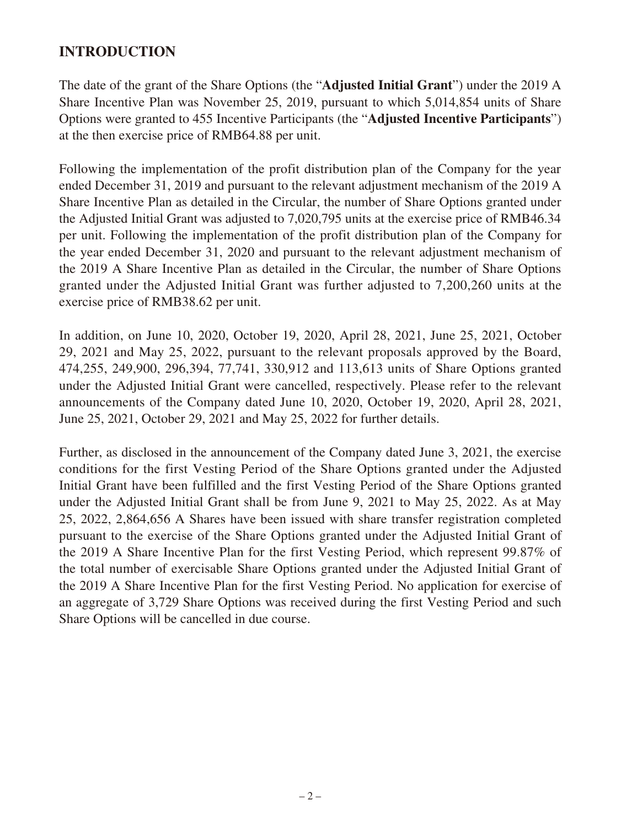# **INTRODUCTION**

The date of the grant of the Share Options (the "**Adjusted Initial Grant**") under the 2019 A Share Incentive Plan was November 25, 2019, pursuant to which 5,014,854 units of Share Options were granted to 455 Incentive Participants (the "**Adjusted Incentive Participants**") at the then exercise price of RMB64.88 per unit.

Following the implementation of the profit distribution plan of the Company for the year ended December 31, 2019 and pursuant to the relevant adjustment mechanism of the 2019 A Share Incentive Plan as detailed in the Circular, the number of Share Options granted under the Adjusted Initial Grant was adjusted to 7,020,795 units at the exercise price of RMB46.34 per unit. Following the implementation of the profit distribution plan of the Company for the year ended December 31, 2020 and pursuant to the relevant adjustment mechanism of the 2019 A Share Incentive Plan as detailed in the Circular, the number of Share Options granted under the Adjusted Initial Grant was further adjusted to 7,200,260 units at the exercise price of RMB38.62 per unit.

In addition, on June 10, 2020, October 19, 2020, April 28, 2021, June 25, 2021, October 29, 2021 and May 25, 2022, pursuant to the relevant proposals approved by the Board, 474,255, 249,900, 296,394, 77,741, 330,912 and 113,613 units of Share Options granted under the Adjusted Initial Grant were cancelled, respectively. Please refer to the relevant announcements of the Company dated June 10, 2020, October 19, 2020, April 28, 2021, June 25, 2021, October 29, 2021 and May 25, 2022 for further details.

Further, as disclosed in the announcement of the Company dated June 3, 2021, the exercise conditions for the first Vesting Period of the Share Options granted under the Adjusted Initial Grant have been fulfilled and the first Vesting Period of the Share Options granted under the Adjusted Initial Grant shall be from June 9, 2021 to May 25, 2022. As at May 25, 2022, 2,864,656 A Shares have been issued with share transfer registration completed pursuant to the exercise of the Share Options granted under the Adjusted Initial Grant of the 2019 A Share Incentive Plan for the first Vesting Period, which represent 99.87% of the total number of exercisable Share Options granted under the Adjusted Initial Grant of the 2019 A Share Incentive Plan for the first Vesting Period. No application for exercise of an aggregate of 3,729 Share Options was received during the first Vesting Period and such Share Options will be cancelled in due course.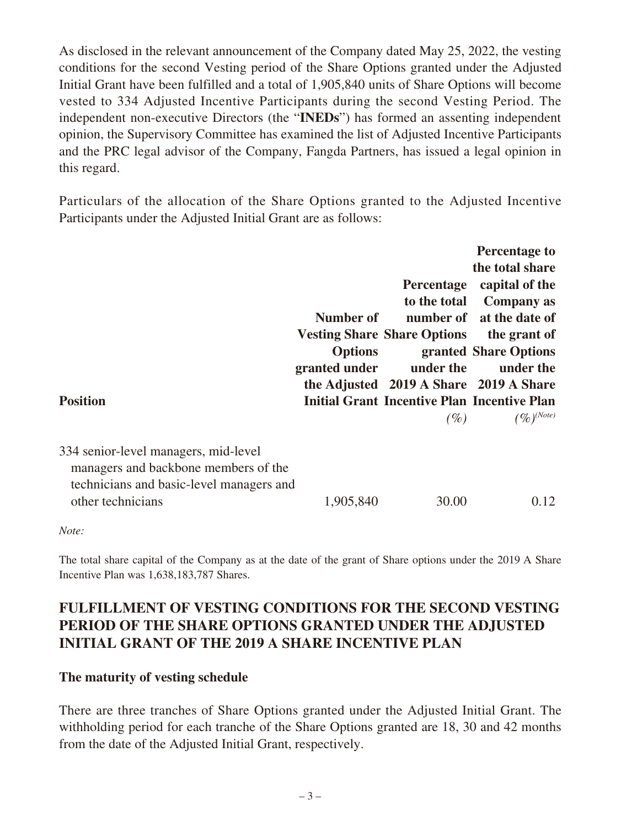As disclosed in the relevant announcement of the Company dated May 25, 2022, the vesting conditions for the second Vesting period of the Share Options granted under the Adjusted Initial Grant have been fulfilled and a total of 1,905,840 units of Share Options will become vested to 334 Adjusted Incentive Participants during the second Vesting Period. The independent non-executive Directors (the "**INEDs**") has formed an assenting independent opinion, the Supervisory Committee has examined the list of Adjusted Incentive Participants and the PRC legal advisor of the Company, Fangda Partners, has issued a legal opinion in this regard.

Particulars of the allocation of the Share Options granted to the Adjusted Incentive Participants under the Adjusted Initial Grant are as follows:

| <b>Position</b>                                                                                                                               | Number of<br>Options<br>granted under | Percentage<br>to the total<br><b>Vesting Share Share Options</b><br>under the<br>the Adjusted 2019 A Share 2019 A Share<br><b>Initial Grant Incentive Plan Incentive Plan</b><br>(%) | <b>Percentage to</b><br>the total share<br>capital of the<br><b>Company as</b><br>number of at the date of<br>the grant of<br>granted Share Options<br>under the<br>$(\%)^{(Note)}$ |
|-----------------------------------------------------------------------------------------------------------------------------------------------|---------------------------------------|--------------------------------------------------------------------------------------------------------------------------------------------------------------------------------------|-------------------------------------------------------------------------------------------------------------------------------------------------------------------------------------|
| 334 senior-level managers, mid-level<br>managers and backbone members of the<br>technicians and basic-level managers and<br>other technicians | 1,905,840                             | 30.00                                                                                                                                                                                | 0.12                                                                                                                                                                                |

#### *Note:*

The total share capital of the Company as at the date of the grant of Share options under the 2019 A Share Incentive Plan was 1,638,183,787 Shares.

# **FULFILLMENT OF VESTING CONDITIONS FOR THE SECOND VESTING PERIOD OF THE SHARE OPTIONS GRANTED UNDER THE ADJUSTED INITIAL GRANT OF THE 2019 A SHARE INCENTIVE PLAN**

#### **The maturity of vesting schedule**

There are three tranches of Share Options granted under the Adjusted Initial Grant. The withholding period for each tranche of the Share Options granted are 18, 30 and 42 months from the date of the Adjusted Initial Grant, respectively.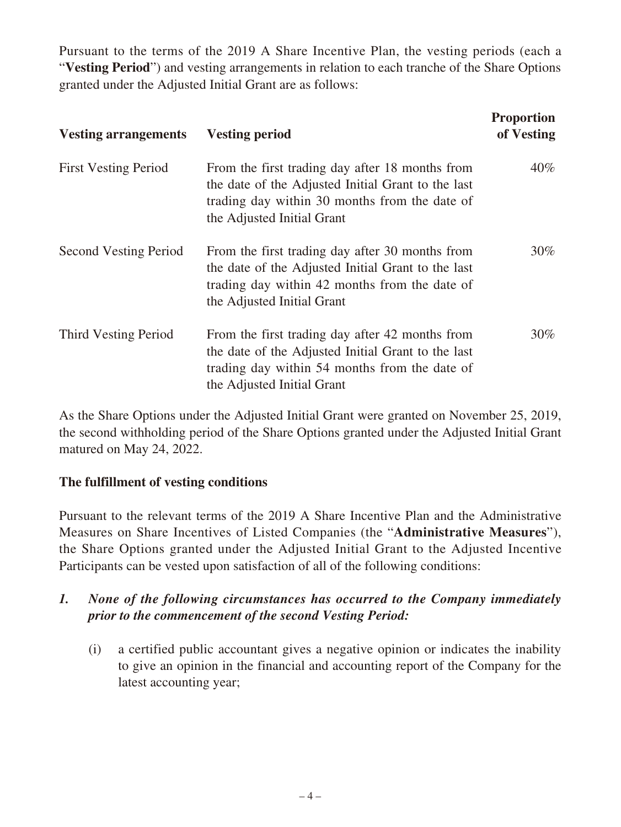Pursuant to the terms of the 2019 A Share Incentive Plan, the vesting periods (each a "**Vesting Period**") and vesting arrangements in relation to each tranche of the Share Options granted under the Adjusted Initial Grant are as follows:

| <b>Vesting arrangements</b>  | <b>Vesting period</b>                                                                                                                                                                | <b>Proportion</b><br>of Vesting |
|------------------------------|--------------------------------------------------------------------------------------------------------------------------------------------------------------------------------------|---------------------------------|
| <b>First Vesting Period</b>  | From the first trading day after 18 months from<br>the date of the Adjusted Initial Grant to the last<br>trading day within 30 months from the date of<br>the Adjusted Initial Grant | $40\%$                          |
| <b>Second Vesting Period</b> | From the first trading day after 30 months from<br>the date of the Adjusted Initial Grant to the last<br>trading day within 42 months from the date of<br>the Adjusted Initial Grant | $30\%$                          |
| Third Vesting Period         | From the first trading day after 42 months from<br>the date of the Adjusted Initial Grant to the last<br>trading day within 54 months from the date of<br>the Adjusted Initial Grant | $30\%$                          |

As the Share Options under the Adjusted Initial Grant were granted on November 25, 2019, the second withholding period of the Share Options granted under the Adjusted Initial Grant matured on May 24, 2022.

# **The fulfillment of vesting conditions**

Pursuant to the relevant terms of the 2019 A Share Incentive Plan and the Administrative Measures on Share Incentives of Listed Companies (the "**Administrative Measures**"), the Share Options granted under the Adjusted Initial Grant to the Adjusted Incentive Participants can be vested upon satisfaction of all of the following conditions:

- *1. None of the following circumstances has occurred to the Company immediately prior to the commencement of the second Vesting Period:*
	- (i) a certified public accountant gives a negative opinion or indicates the inability to give an opinion in the financial and accounting report of the Company for the latest accounting year;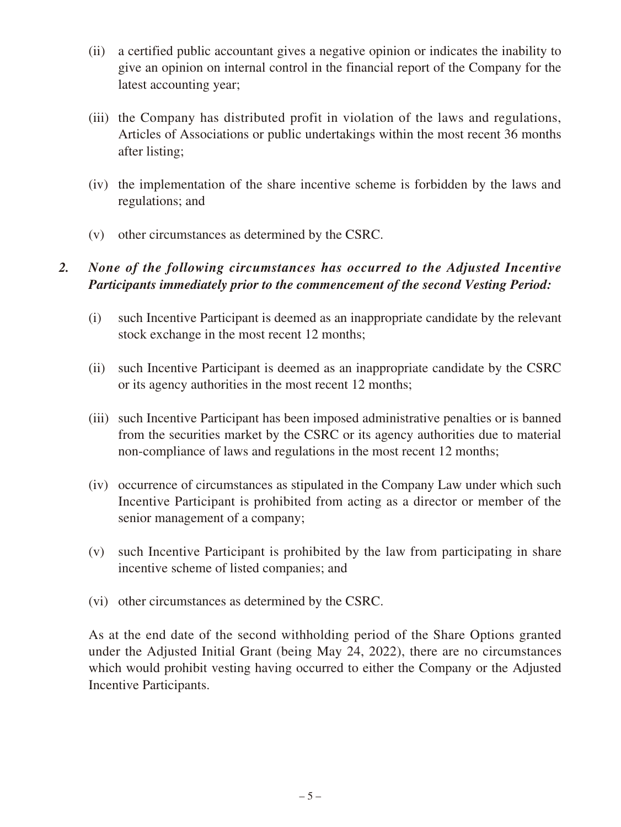- (ii) a certified public accountant gives a negative opinion or indicates the inability to give an opinion on internal control in the financial report of the Company for the latest accounting year;
- (iii) the Company has distributed profit in violation of the laws and regulations, Articles of Associations or public undertakings within the most recent 36 months after listing;
- (iv) the implementation of the share incentive scheme is forbidden by the laws and regulations; and
- (v) other circumstances as determined by the CSRC.

# *2. None of the following circumstances has occurred to the Adjusted Incentive Participants immediately prior to the commencement of the second Vesting Period:*

- (i) such Incentive Participant is deemed as an inappropriate candidate by the relevant stock exchange in the most recent 12 months;
- (ii) such Incentive Participant is deemed as an inappropriate candidate by the CSRC or its agency authorities in the most recent 12 months;
- (iii) such Incentive Participant has been imposed administrative penalties or is banned from the securities market by the CSRC or its agency authorities due to material non-compliance of laws and regulations in the most recent 12 months;
- (iv) occurrence of circumstances as stipulated in the Company Law under which such Incentive Participant is prohibited from acting as a director or member of the senior management of a company;
- (v) such Incentive Participant is prohibited by the law from participating in share incentive scheme of listed companies; and
- (vi) other circumstances as determined by the CSRC.

As at the end date of the second withholding period of the Share Options granted under the Adjusted Initial Grant (being May 24, 2022), there are no circumstances which would prohibit vesting having occurred to either the Company or the Adjusted Incentive Participants.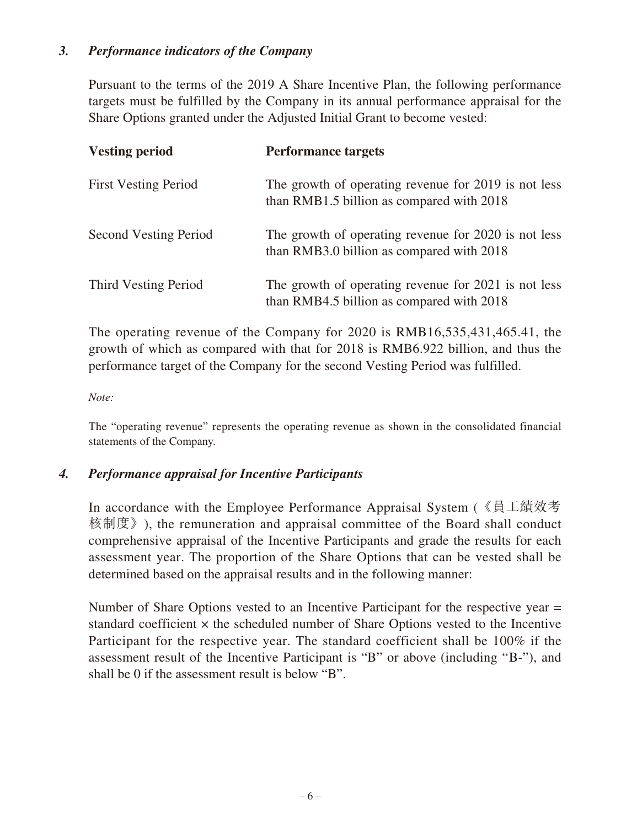### *3. Performance indicators of the Company*

Pursuant to the terms of the 2019 A Share Incentive Plan, the following performance targets must be fulfilled by the Company in its annual performance appraisal for the Share Options granted under the Adjusted Initial Grant to become vested:

| <b>Vesting period</b>        | <b>Performance targets</b>                                                                        |
|------------------------------|---------------------------------------------------------------------------------------------------|
| <b>First Vesting Period</b>  | The growth of operating revenue for 2019 is not less<br>than RMB1.5 billion as compared with 2018 |
| <b>Second Vesting Period</b> | The growth of operating revenue for 2020 is not less<br>than RMB3.0 billion as compared with 2018 |
| Third Vesting Period         | The growth of operating revenue for 2021 is not less<br>than RMB4.5 billion as compared with 2018 |

The operating revenue of the Company for 2020 is RMB16,535,431,465.41, the growth of which as compared with that for 2018 is RMB6.922 billion, and thus the performance target of the Company for the second Vesting Period was fulfilled.

*Note:*

The "operating revenue" represents the operating revenue as shown in the consolidated financial statements of the Company.

### *4. Performance appraisal for Incentive Participants*

In accordance with the Employee Performance Appraisal System (《員工績效考 核制度》), the remuneration and appraisal committee of the Board shall conduct comprehensive appraisal of the Incentive Participants and grade the results for each assessment year. The proportion of the Share Options that can be vested shall be determined based on the appraisal results and in the following manner:

Number of Share Options vested to an Incentive Participant for the respective year = standard coefficient  $\times$  the scheduled number of Share Options vested to the Incentive Participant for the respective year. The standard coefficient shall be 100% if the assessment result of the Incentive Participant is "B" or above (including "B-"), and shall be 0 if the assessment result is below "B".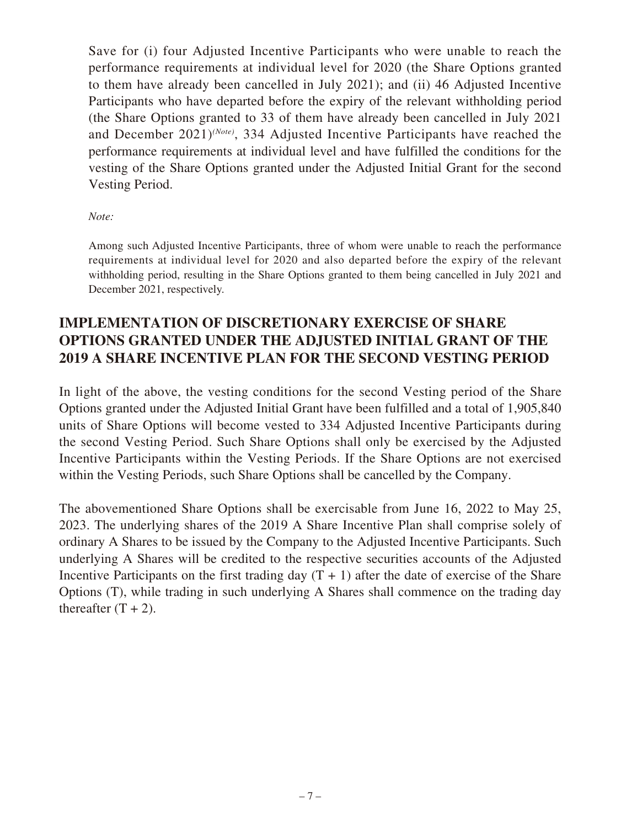Save for (i) four Adjusted Incentive Participants who were unable to reach the performance requirements at individual level for 2020 (the Share Options granted to them have already been cancelled in July 2021); and (ii) 46 Adjusted Incentive Participants who have departed before the expiry of the relevant withholding period (the Share Options granted to 33 of them have already been cancelled in July 2021 and December 2021)*(Note)*, 334 Adjusted Incentive Participants have reached the performance requirements at individual level and have fulfilled the conditions for the vesting of the Share Options granted under the Adjusted Initial Grant for the second Vesting Period.

#### *Note:*

Among such Adjusted Incentive Participants, three of whom were unable to reach the performance requirements at individual level for 2020 and also departed before the expiry of the relevant withholding period, resulting in the Share Options granted to them being cancelled in July 2021 and December 2021, respectively.

# **IMPLEMENTATION OF DISCRETIONARY EXERCISE OF SHARE OPTIONS GRANTED UNDER THE ADJUSTED INITIAL GRANT OF THE 2019 A SHARE INCENTIVE PLAN FOR THE SECOND VESTING PERIOD**

In light of the above, the vesting conditions for the second Vesting period of the Share Options granted under the Adjusted Initial Grant have been fulfilled and a total of 1,905,840 units of Share Options will become vested to 334 Adjusted Incentive Participants during the second Vesting Period. Such Share Options shall only be exercised by the Adjusted Incentive Participants within the Vesting Periods. If the Share Options are not exercised within the Vesting Periods, such Share Options shall be cancelled by the Company.

The abovementioned Share Options shall be exercisable from June 16, 2022 to May 25, 2023. The underlying shares of the 2019 A Share Incentive Plan shall comprise solely of ordinary A Shares to be issued by the Company to the Adjusted Incentive Participants. Such underlying A Shares will be credited to the respective securities accounts of the Adjusted Incentive Participants on the first trading day  $(T + 1)$  after the date of exercise of the Share Options (T), while trading in such underlying A Shares shall commence on the trading day thereafter  $(T + 2)$ .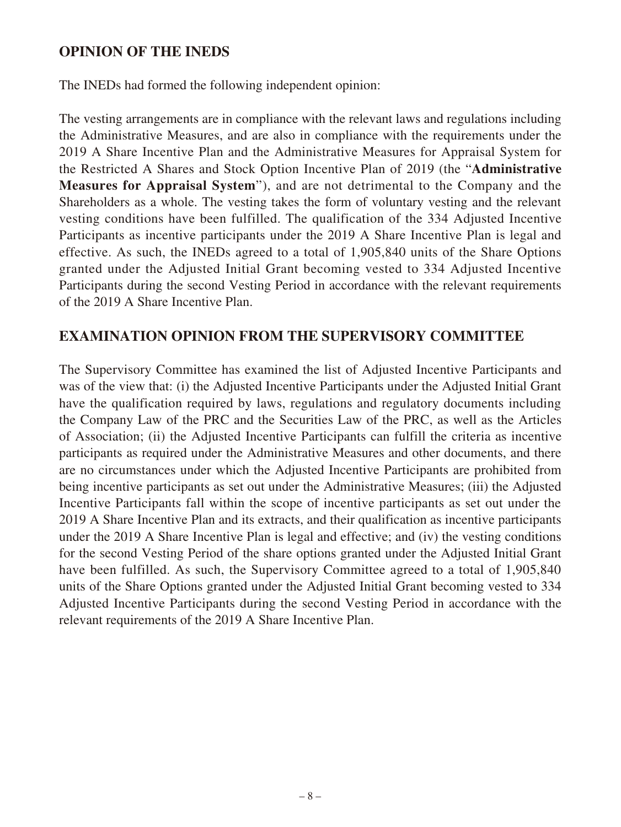## **OPINION OF THE INEDS**

The INEDs had formed the following independent opinion:

The vesting arrangements are in compliance with the relevant laws and regulations including the Administrative Measures, and are also in compliance with the requirements under the 2019 A Share Incentive Plan and the Administrative Measures for Appraisal System for the Restricted A Shares and Stock Option Incentive Plan of 2019 (the "**Administrative Measures for Appraisal System**"), and are not detrimental to the Company and the Shareholders as a whole. The vesting takes the form of voluntary vesting and the relevant vesting conditions have been fulfilled. The qualification of the 334 Adjusted Incentive Participants as incentive participants under the 2019 A Share Incentive Plan is legal and effective. As such, the INEDs agreed to a total of 1,905,840 units of the Share Options granted under the Adjusted Initial Grant becoming vested to 334 Adjusted Incentive Participants during the second Vesting Period in accordance with the relevant requirements of the 2019 A Share Incentive Plan.

# **EXAMINATION OPINION FROM THE SUPERVISORY COMMITTEE**

The Supervisory Committee has examined the list of Adjusted Incentive Participants and was of the view that: (i) the Adjusted Incentive Participants under the Adjusted Initial Grant have the qualification required by laws, regulations and regulatory documents including the Company Law of the PRC and the Securities Law of the PRC, as well as the Articles of Association; (ii) the Adjusted Incentive Participants can fulfill the criteria as incentive participants as required under the Administrative Measures and other documents, and there are no circumstances under which the Adjusted Incentive Participants are prohibited from being incentive participants as set out under the Administrative Measures; (iii) the Adjusted Incentive Participants fall within the scope of incentive participants as set out under the 2019 A Share Incentive Plan and its extracts, and their qualification as incentive participants under the 2019 A Share Incentive Plan is legal and effective; and (iv) the vesting conditions for the second Vesting Period of the share options granted under the Adjusted Initial Grant have been fulfilled. As such, the Supervisory Committee agreed to a total of 1,905,840 units of the Share Options granted under the Adjusted Initial Grant becoming vested to 334 Adjusted Incentive Participants during the second Vesting Period in accordance with the relevant requirements of the 2019 A Share Incentive Plan.